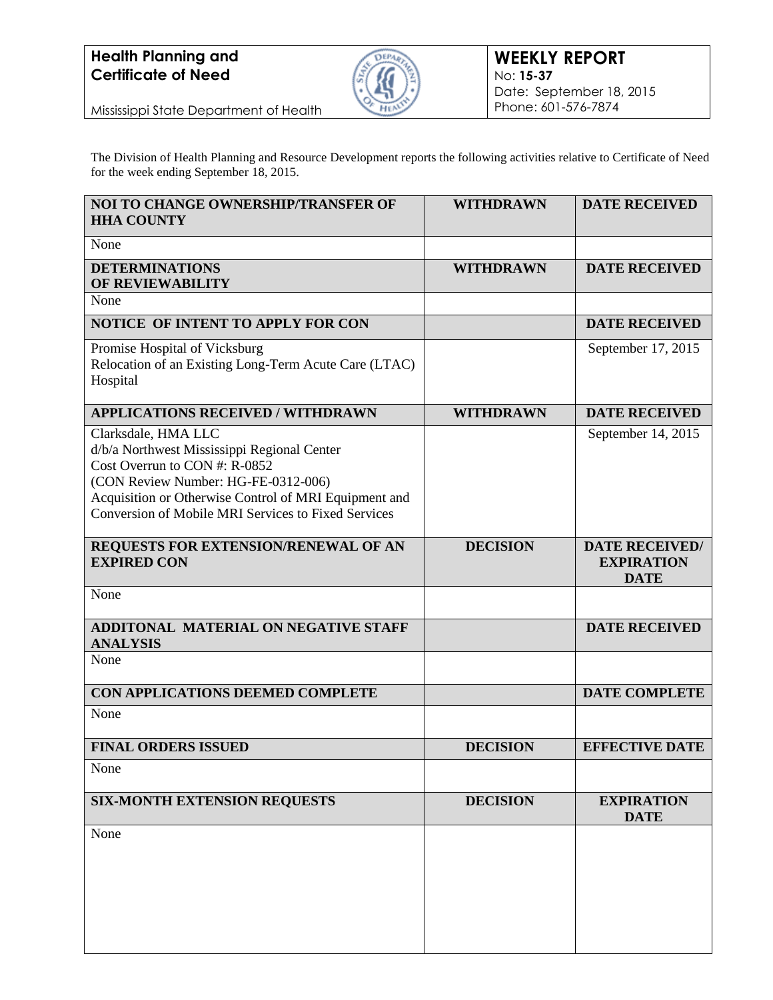

Mississippi State Department of Health

The Division of Health Planning and Resource Development reports the following activities relative to Certificate of Need for the week ending September 18, 2015.

| <b>NOI TO CHANGE OWNERSHIP/TRANSFER OF</b><br><b>HHA COUNTY</b>                                                                                                                                                                                            | <b>WITHDRAWN</b> | <b>DATE RECEIVED</b>                                      |
|------------------------------------------------------------------------------------------------------------------------------------------------------------------------------------------------------------------------------------------------------------|------------------|-----------------------------------------------------------|
| None                                                                                                                                                                                                                                                       |                  |                                                           |
| <b>DETERMINATIONS</b><br>OF REVIEWABILITY                                                                                                                                                                                                                  | <b>WITHDRAWN</b> | <b>DATE RECEIVED</b>                                      |
| None                                                                                                                                                                                                                                                       |                  |                                                           |
| NOTICE OF INTENT TO APPLY FOR CON                                                                                                                                                                                                                          |                  | <b>DATE RECEIVED</b>                                      |
| Promise Hospital of Vicksburg<br>Relocation of an Existing Long-Term Acute Care (LTAC)<br>Hospital                                                                                                                                                         |                  | September 17, 2015                                        |
| <b>APPLICATIONS RECEIVED / WITHDRAWN</b>                                                                                                                                                                                                                   | <b>WITHDRAWN</b> | <b>DATE RECEIVED</b>                                      |
| Clarksdale, HMA LLC<br>d/b/a Northwest Mississippi Regional Center<br>Cost Overrun to CON #: R-0852<br>(CON Review Number: HG-FE-0312-006)<br>Acquisition or Otherwise Control of MRI Equipment and<br>Conversion of Mobile MRI Services to Fixed Services |                  | September 14, 2015                                        |
| REQUESTS FOR EXTENSION/RENEWAL OF AN<br><b>EXPIRED CON</b>                                                                                                                                                                                                 | <b>DECISION</b>  | <b>DATE RECEIVED/</b><br><b>EXPIRATION</b><br><b>DATE</b> |
| None                                                                                                                                                                                                                                                       |                  |                                                           |
| <b>ADDITONAL MATERIAL ON NEGATIVE STAFF</b><br><b>ANALYSIS</b>                                                                                                                                                                                             |                  | <b>DATE RECEIVED</b>                                      |
| None                                                                                                                                                                                                                                                       |                  |                                                           |
| CON APPLICATIONS DEEMED COMPLETE                                                                                                                                                                                                                           |                  | <b>DATE COMPLETE</b>                                      |
| None                                                                                                                                                                                                                                                       |                  |                                                           |
| <b>FINAL ORDERS ISSUED</b>                                                                                                                                                                                                                                 | <b>DECISION</b>  | <b>EFFECTIVE DATE</b>                                     |
| None                                                                                                                                                                                                                                                       |                  |                                                           |
| <b>SIX-MONTH EXTENSION REQUESTS</b>                                                                                                                                                                                                                        | <b>DECISION</b>  | <b>EXPIRATION</b><br><b>DATE</b>                          |
| None                                                                                                                                                                                                                                                       |                  |                                                           |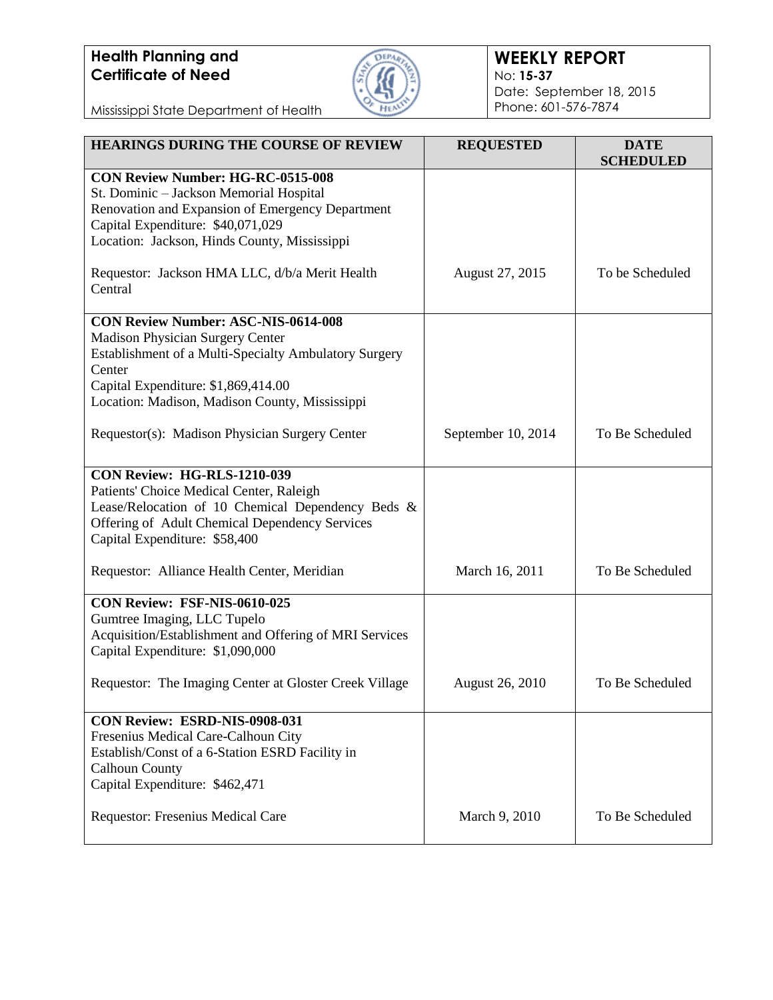

### **WEEKLY REPORT** No: **15-37** Date: September 18, 2015 Phone: 601-576-7874

Mississippi State Department of Health

| <b>HEARINGS DURING THE COURSE OF REVIEW</b>                                                                                                                                                                                                | <b>REQUESTED</b>   | <b>DATE</b><br><b>SCHEDULED</b> |
|--------------------------------------------------------------------------------------------------------------------------------------------------------------------------------------------------------------------------------------------|--------------------|---------------------------------|
| <b>CON Review Number: HG-RC-0515-008</b><br>St. Dominic - Jackson Memorial Hospital<br>Renovation and Expansion of Emergency Department<br>Capital Expenditure: \$40,071,029<br>Location: Jackson, Hinds County, Mississippi               |                    |                                 |
| Requestor: Jackson HMA LLC, d/b/a Merit Health<br>Central                                                                                                                                                                                  | August 27, 2015    | To be Scheduled                 |
| <b>CON Review Number: ASC-NIS-0614-008</b><br>Madison Physician Surgery Center<br>Establishment of a Multi-Specialty Ambulatory Surgery<br>Center<br>Capital Expenditure: \$1,869,414.00<br>Location: Madison, Madison County, Mississippi |                    |                                 |
| Requestor(s): Madison Physician Surgery Center                                                                                                                                                                                             | September 10, 2014 | To Be Scheduled                 |
| <b>CON Review: HG-RLS-1210-039</b><br>Patients' Choice Medical Center, Raleigh<br>Lease/Relocation of 10 Chemical Dependency Beds &<br>Offering of Adult Chemical Dependency Services<br>Capital Expenditure: \$58,400                     |                    |                                 |
| Requestor: Alliance Health Center, Meridian                                                                                                                                                                                                | March 16, 2011     | To Be Scheduled                 |
| CON Review: FSF-NIS-0610-025<br>Gumtree Imaging, LLC Tupelo<br>Acquisition/Establishment and Offering of MRI Services<br>Capital Expenditure: \$1,090,000                                                                                  |                    |                                 |
| Requestor: The Imaging Center at Gloster Creek Village                                                                                                                                                                                     | August 26, 2010    | To Be Scheduled                 |
| CON Review: ESRD-NIS-0908-031<br>Fresenius Medical Care-Calhoun City<br>Establish/Const of a 6-Station ESRD Facility in<br><b>Calhoun County</b><br>Capital Expenditure: \$462,471                                                         |                    |                                 |
| Requestor: Fresenius Medical Care                                                                                                                                                                                                          | March 9, 2010      | To Be Scheduled                 |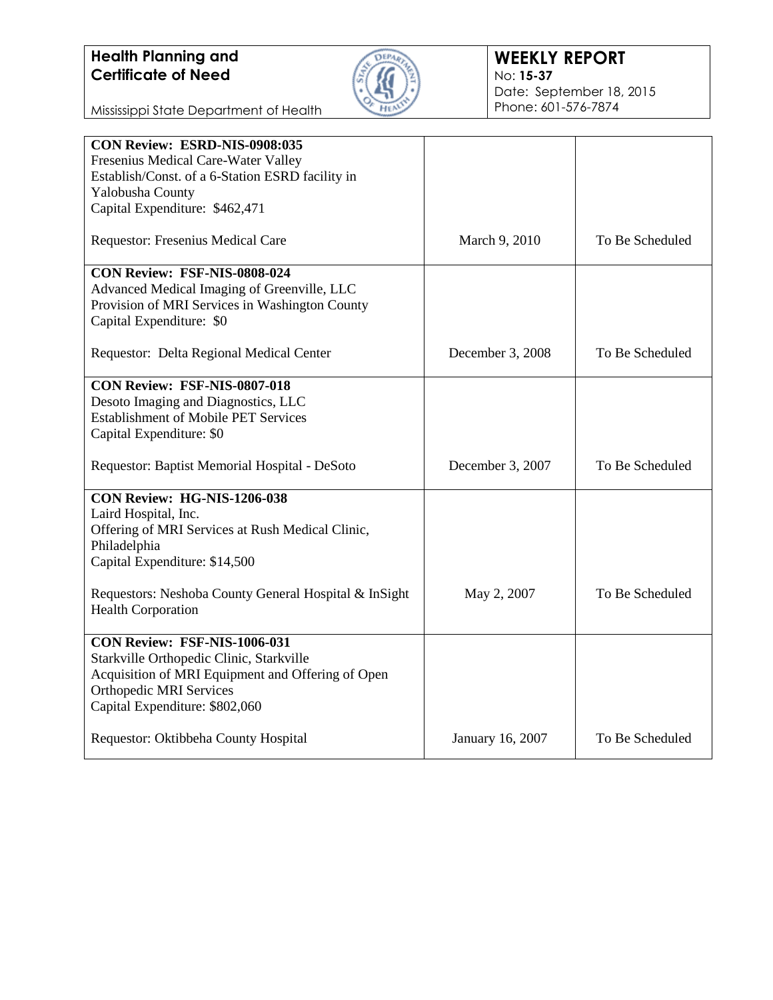

#### **WEEKLY REPORT** No: **15-37** Date: September 18, 2015 Phone: 601-576-7874

Mississippi State Department of Health

| CON Review: ESRD-NIS-0908:035                         |                  |                 |
|-------------------------------------------------------|------------------|-----------------|
| Fresenius Medical Care-Water Valley                   |                  |                 |
| Establish/Const. of a 6-Station ESRD facility in      |                  |                 |
| Yalobusha County                                      |                  |                 |
| Capital Expenditure: \$462,471                        |                  |                 |
| Requestor: Fresenius Medical Care                     | March 9, 2010    | To Be Scheduled |
| CON Review: FSF-NIS-0808-024                          |                  |                 |
| Advanced Medical Imaging of Greenville, LLC           |                  |                 |
| Provision of MRI Services in Washington County        |                  |                 |
| Capital Expenditure: \$0                              |                  |                 |
| Requestor: Delta Regional Medical Center              | December 3, 2008 | To Be Scheduled |
| <b>CON Review: FSF-NIS-0807-018</b>                   |                  |                 |
| Desoto Imaging and Diagnostics, LLC                   |                  |                 |
| <b>Establishment of Mobile PET Services</b>           |                  |                 |
| Capital Expenditure: \$0                              |                  |                 |
|                                                       |                  |                 |
| Requestor: Baptist Memorial Hospital - DeSoto         | December 3, 2007 | To Be Scheduled |
| CON Review: HG-NIS-1206-038                           |                  |                 |
| Laird Hospital, Inc.                                  |                  |                 |
| Offering of MRI Services at Rush Medical Clinic,      |                  |                 |
| Philadelphia                                          |                  |                 |
| Capital Expenditure: \$14,500                         |                  |                 |
| Requestors: Neshoba County General Hospital & InSight | May 2, 2007      | To Be Scheduled |
| <b>Health Corporation</b>                             |                  |                 |
| CON Review: FSF-NIS-1006-031                          |                  |                 |
| Starkville Orthopedic Clinic, Starkville              |                  |                 |
| Acquisition of MRI Equipment and Offering of Open     |                  |                 |
| <b>Orthopedic MRI Services</b>                        |                  |                 |
|                                                       |                  |                 |
|                                                       |                  |                 |
| Capital Expenditure: \$802,060                        |                  |                 |